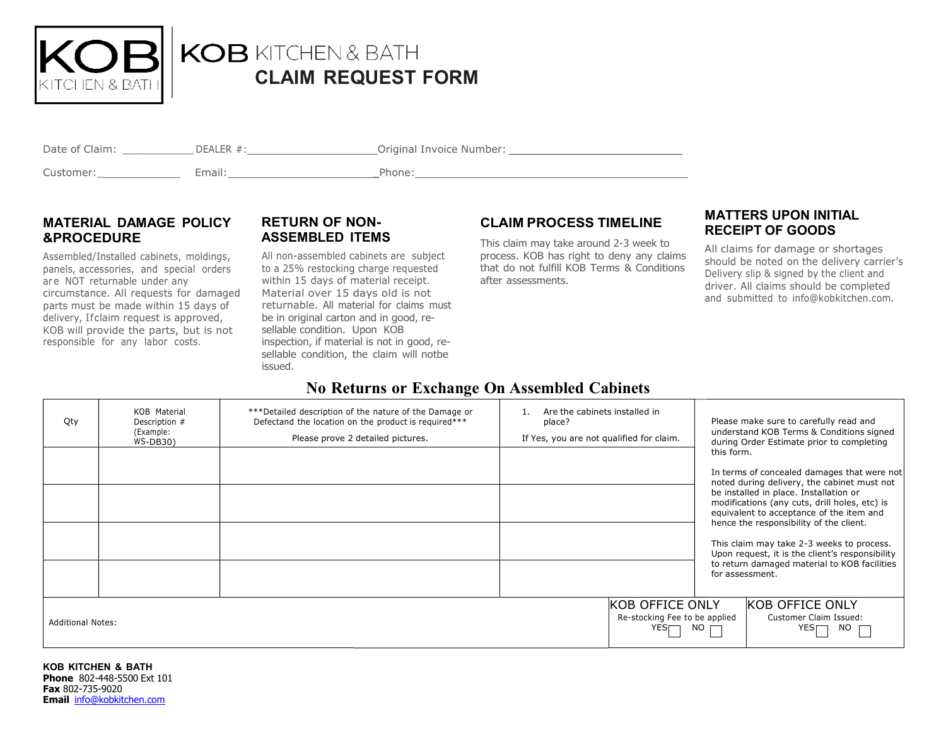

# CLAIM REQUEST REQUEST FORM

| Date of Claim: | DEALER #. | Original Invoice Number: |
|----------------|-----------|--------------------------|
| Customer:      | Email:    | Phone:                   |

#### MATERIAL DAMAGE POLICY &PROCEDURE ASSEMBLED ITEMS

Assembled/Installed cabinets, moldings, panels, accessories, and special orders are NOT returnable under any the same within 15 days of material receipt. The after assessments. circumstance. All requests for damaged parts must be made within 15 days of delivery, Ifclaim request is approved, KOB will provide the parts, but is not responsible for any labor costs.

# **RETURN OF NON-**

delivery, I f claim request is approved, All non-assembled cabinets are subject to a 25% restocking charge requested that do not fulfill KOB Material over 15 days old is not returnable. All material material for claims must be in original carton and in good, resellable condition. Upon KOB inspection, if material is not in good, resellable condition, the claim will notbe issued.

### RETURN OF NON- CLAIM PROCESS TIMELINE THAT LENS UP ON INTITAL

cabinets are subject process. KOB has right to deny any claims  $\frac{1}{6}$  have had an time of the noted on time This claim may take around 2-3 week to that do not fulfill KOB Terms & Conditions after assessments.

#### MATTERS UPON INITIAL RECEIPT RECEIPT OF GOODS

All claims for damage or shortages should should be noted on the delivery carrier's Delivery slip slip & signed by the client and driver. driver. All claims should be completed and and submitted to info@kobkitchen.com.

## No Returns Returns or Exchange On Assembled Cabinets

| Qty                      | KOB Material<br>Description #<br>(Example:<br>WS-DB30) | *** Detailed description of the nature of the Damage or<br>Defectand the location on the product is required***<br>Please prove 2 detailed pictures. | Are the cabinets installed in<br>place?<br>If Yes, you are not qualified for claim. | Please make sure to carefully read and<br>understand KOB Terms & Conditions signed<br>during Order Estimate prior to completing                                                                                                                                                                                                                                                                                                                               |
|--------------------------|--------------------------------------------------------|------------------------------------------------------------------------------------------------------------------------------------------------------|-------------------------------------------------------------------------------------|---------------------------------------------------------------------------------------------------------------------------------------------------------------------------------------------------------------------------------------------------------------------------------------------------------------------------------------------------------------------------------------------------------------------------------------------------------------|
|                          |                                                        |                                                                                                                                                      |                                                                                     | this form.<br>In terms of concealed damages that were not<br>noted during delivery, the cabinet must not<br>be installed in place. Installation or<br>modifications (any cuts, drill holes, etc) is<br>equivalent to acceptance of the item and<br>hence the responsibility of the client.<br>This claim may take 2-3 weeks to process.<br>Upon request, it is the client's responsibility<br>to return damaged material to KOB facilities<br>for assessment. |
| <b>Additional Notes:</b> |                                                        |                                                                                                                                                      |                                                                                     | <b>KOB OFFICE ONLY</b><br><b>KOB OFFICE ONLY</b><br>Customer Claim Issued:<br>Re-stocking Fee to be applied<br>$\overline{\mathsf{NO}}$ $\overline{\mathsf{C}}$<br>YES<br>NO L                                                                                                                                                                                                                                                                                |